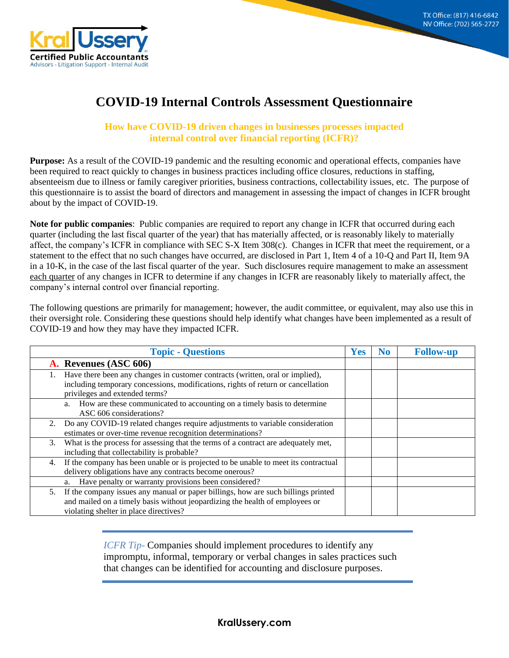**8215 S. Eastern Ave, Suite 235 Las Vegas, NV 89123**



## **COVID-19 Internal Controls Assessment Questionnaire**

## **How have COVID-19 driven changes in businesses processes impacted internal control over financial reporting (ICFR)?**

**Purpose:** As a result of the COVID-19 pandemic and the resulting economic and operational effects, companies have been required to react quickly to changes in business practices including office closures, reductions in staffing, absenteeism due to illness or family caregiver priorities, business contractions, collectability issues, etc. The purpose of this questionnaire is to assist the board of directors and management in assessing the impact of changes in ICFR brought about by the impact of COVID-19.

**Note for public companies**: Public companies are required to report any change in ICFR that occurred during each quarter (including the last fiscal quarter of the year) that has materially affected, or is reasonably likely to materially affect, the company's ICFR in compliance with SEC S-X Item 308(c). Changes in ICFR that meet the requirement, or a statement to the effect that no such changes have occurred, are disclosed in Part 1, Item 4 of a 10-Q and Part II, Item 9A in a 10-K, in the case of the last fiscal quarter of the year. Such disclosures require management to make an assessment each quarter of any changes in ICFR to determine if any changes in ICFR are reasonably likely to materially affect, the company's internal control over financial reporting.

The following questions are primarily for management; however, the audit committee, or equivalent, may also use this in their oversight role. Considering these questions should help identify what changes have been implemented as a result of COVID-19 and how they may have they impacted ICFR.

|    | <b>Topic - Questions</b>                                                                                                                                                                                    | <b>Yes</b> | No | <b>Follow-up</b> |
|----|-------------------------------------------------------------------------------------------------------------------------------------------------------------------------------------------------------------|------------|----|------------------|
|    | A. Revenues (ASC 606)                                                                                                                                                                                       |            |    |                  |
|    | Have there been any changes in customer contracts (written, oral or implied),<br>including temporary concessions, modifications, rights of return or cancellation<br>privileges and extended terms?         |            |    |                  |
|    | a. How are these communicated to accounting on a timely basis to determine<br>ASC 606 considerations?                                                                                                       |            |    |                  |
|    | 2. Do any COVID-19 related changes require adjustments to variable consideration<br>estimates or over-time revenue recognition determinations?                                                              |            |    |                  |
|    | 3. What is the process for assessing that the terms of a contract are adequately met,<br>including that collectability is probable?                                                                         |            |    |                  |
|    | 4. If the company has been unable or is projected to be unable to meet its contractual<br>delivery obligations have any contracts become onerous?                                                           |            |    |                  |
|    | Have penalty or warranty provisions been considered?<br>a.                                                                                                                                                  |            |    |                  |
| 5. | If the company issues any manual or paper billings, how are such billings printed<br>and mailed on a timely basis without jeopardizing the health of employees or<br>violating shelter in place directives? |            |    |                  |

*ICFR Tip*- Companies should implement procedures to identify any impromptu, informal, temporary or verbal changes in sales practices such that changes can be identified for accounting and disclosure purposes.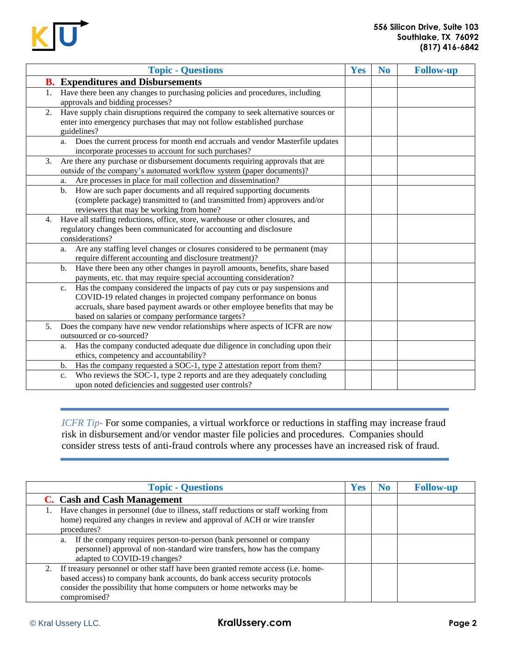

| <b>Topic - Questions</b>                                                                                                                                                                                                                                                                             | Yes | N <sub>0</sub> | <b>Follow-up</b> |
|------------------------------------------------------------------------------------------------------------------------------------------------------------------------------------------------------------------------------------------------------------------------------------------------------|-----|----------------|------------------|
| <b>B.</b> Expenditures and Disbursements                                                                                                                                                                                                                                                             |     |                |                  |
| Have there been any changes to purchasing policies and procedures, including<br>1.<br>approvals and bidding processes?                                                                                                                                                                               |     |                |                  |
| Have supply chain disruptions required the company to seek alternative sources or<br>2.<br>enter into emergency purchases that may not follow established purchase<br>guidelines?                                                                                                                    |     |                |                  |
| Does the current process for month end accruals and vendor Masterfile updates<br>a.<br>incorporate processes to account for such purchases?                                                                                                                                                          |     |                |                  |
| Are there any purchase or disbursement documents requiring approvals that are<br>3.<br>outside of the company's automated workflow system (paper documents)?                                                                                                                                         |     |                |                  |
| Are processes in place for mail collection and dissemination?<br>a.                                                                                                                                                                                                                                  |     |                |                  |
| How are such paper documents and all required supporting documents<br>$\mathbf{b}$ .<br>(complete package) transmitted to (and transmitted from) approvers and/or<br>reviewers that may be working from home?                                                                                        |     |                |                  |
| Have all staffing reductions, office, store, warehouse or other closures, and<br>4.<br>regulatory changes been communicated for accounting and disclosure<br>considerations?                                                                                                                         |     |                |                  |
| Are any staffing level changes or closures considered to be permanent (may<br>a.<br>require different accounting and disclosure treatment)?                                                                                                                                                          |     |                |                  |
| Have there been any other changes in payroll amounts, benefits, share based<br>$\mathbf{b}$ .<br>payments, etc. that may require special accounting consideration?                                                                                                                                   |     |                |                  |
| Has the company considered the impacts of pay cuts or pay suspensions and<br>$\mathbf{c}.$<br>COVID-19 related changes in projected company performance on bonus<br>accruals, share based payment awards or other employee benefits that may be<br>based on salaries or company performance targets? |     |                |                  |
| Does the company have new vendor relationships where aspects of ICFR are now<br>5.<br>outsourced or co-sourced?                                                                                                                                                                                      |     |                |                  |
| Has the company conducted adequate due diligence in concluding upon their<br>a.<br>ethics, competency and accountability?                                                                                                                                                                            |     |                |                  |
| Has the company requested a SOC-1, type 2 attestation report from them?<br>b.                                                                                                                                                                                                                        |     |                |                  |
| Who reviews the SOC-1, type 2 reports and are they adequately concluding<br>c.<br>upon noted deficiencies and suggested user controls?                                                                                                                                                               |     |                |                  |

*ICFR Tip*- For some companies, a virtual workforce or reductions in staffing may increase fraud risk in disbursement and/or vendor master file policies and procedures. Companies should consider stress tests of anti-fraud controls where any processes have an increased risk of fraud.

| <b>Topic - Questions</b>                                                                                                                                                                                                                                 | <b>Yes</b> | N <sub>0</sub> | <b>Follow-up</b> |
|----------------------------------------------------------------------------------------------------------------------------------------------------------------------------------------------------------------------------------------------------------|------------|----------------|------------------|
| C. Cash and Cash Management                                                                                                                                                                                                                              |            |                |                  |
| Have changes in personnel (due to illness, staff reductions or staff working from<br>home) required any changes in review and approval of ACH or wire transfer<br>procedures?                                                                            |            |                |                  |
| If the company requires person-to-person (bank personnel or company<br>a.<br>personnel) approval of non-standard wire transfers, how has the company<br>adapted to COVID-19 changes?                                                                     |            |                |                  |
| 2. If treasury personnel or other staff have been granted remote access (i.e. home-<br>based access) to company bank accounts, do bank access security protocols<br>consider the possibility that home computers or home networks may be<br>compromised? |            |                |                  |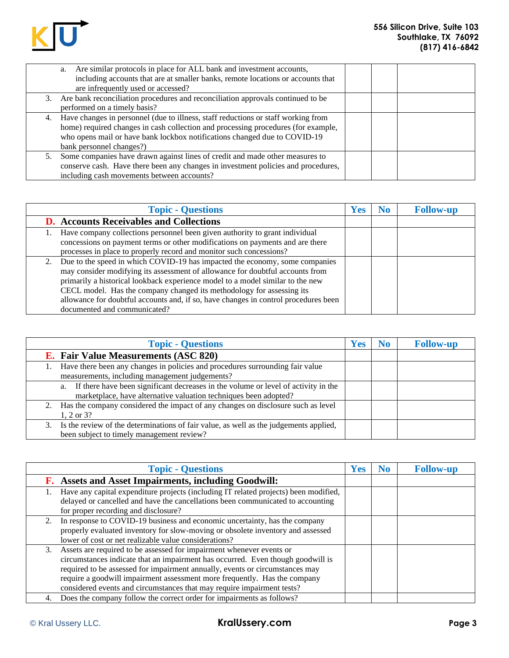

| a. Are similar protocols in place for ALL bank and investment accounts,<br>including accounts that are at smaller banks, remote locations or accounts that<br>are infrequently used or accessed?                                                                                   |  |
|------------------------------------------------------------------------------------------------------------------------------------------------------------------------------------------------------------------------------------------------------------------------------------|--|
| 3. Are bank reconciliation procedures and reconciliation approvals continued to be<br>performed on a timely basis?                                                                                                                                                                 |  |
| 4. Have changes in personnel (due to illness, staff reductions or staff working from<br>home) required changes in cash collection and processing procedures (for example,<br>who opens mail or have bank lockbox notifications changed due to COVID-19<br>bank personnel changes?) |  |
| 5. Some companies have drawn against lines of credit and made other measures to<br>conserve cash. Have there been any changes in investment policies and procedures,<br>including cash movements between accounts?                                                                 |  |

| <b>Topic - Questions</b>                                                            | <b>Yes</b> | N <sub>0</sub> | <b>Follow-up</b> |
|-------------------------------------------------------------------------------------|------------|----------------|------------------|
| <b>D.</b> Accounts Receivables and Collections                                      |            |                |                  |
| Have company collections personnel been given authority to grant individual         |            |                |                  |
| concessions on payment terms or other modifications on payments and are there       |            |                |                  |
| processes in place to properly record and monitor such concessions?                 |            |                |                  |
| 2. Due to the speed in which COVID-19 has impacted the economy, some companies      |            |                |                  |
| may consider modifying its assessment of allowance for doubtful accounts from       |            |                |                  |
| primarily a historical lookback experience model to a model similar to the new      |            |                |                  |
| CECL model. Has the company changed its methodology for assessing its               |            |                |                  |
| allowance for doubtful accounts and, if so, have changes in control procedures been |            |                |                  |
| documented and communicated?                                                        |            |                |                  |

| <b>Topic - Questions</b>                                                                                                                                     | Yes | No | <b>Follow-up</b> |
|--------------------------------------------------------------------------------------------------------------------------------------------------------------|-----|----|------------------|
| <b>E.</b> Fair Value Measurements (ASC 820)                                                                                                                  |     |    |                  |
| Have there been any changes in policies and procedures surrounding fair value<br>measurements, including management judgements?                              |     |    |                  |
| If there have been significant decreases in the volume or level of activity in the<br>a.<br>marketplace, have alternative valuation techniques been adopted? |     |    |                  |
| 2. Has the company considered the impact of any changes on disclosure such as level<br>1, 2 or $3?$                                                          |     |    |                  |
| 3. Is the review of the determinations of fair value, as well as the judgements applied,<br>been subject to timely management review?                        |     |    |                  |

| <b>Topic - Questions</b>                                                                                                                                                                                                                                                                                                                                                                          | <b>Yes</b> | No | <b>Follow-up</b> |
|---------------------------------------------------------------------------------------------------------------------------------------------------------------------------------------------------------------------------------------------------------------------------------------------------------------------------------------------------------------------------------------------------|------------|----|------------------|
| <b>F.</b> Assets and Asset Impairments, including Goodwill:                                                                                                                                                                                                                                                                                                                                       |            |    |                  |
| Have any capital expenditure projects (including IT related projects) been modified,<br>delayed or cancelled and have the cancellations been communicated to accounting<br>for proper recording and disclosure?                                                                                                                                                                                   |            |    |                  |
| 2. In response to COVID-19 business and economic uncertainty, has the company<br>properly evaluated inventory for slow-moving or obsolete inventory and assessed<br>lower of cost or net realizable value considerations?                                                                                                                                                                         |            |    |                  |
| 3. Assets are required to be assessed for impairment whenever events or<br>circumstances indicate that an impairment has occurred. Even though goodwill is<br>required to be assessed for impairment annually, events or circumstances may<br>require a goodwill impairment assessment more frequently. Has the company<br>considered events and circumstances that may require impairment tests? |            |    |                  |
| Does the company follow the correct order for impairments as follows?<br>4.                                                                                                                                                                                                                                                                                                                       |            |    |                  |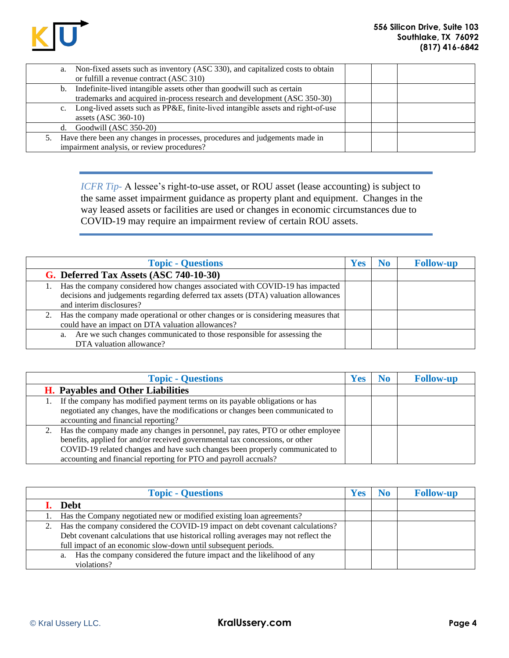

| a.             | Non-fixed assets such as inventory (ASC 330), and capitalized costs to obtain<br>or fulfill a revenue contract (ASC 310)                           |  |
|----------------|----------------------------------------------------------------------------------------------------------------------------------------------------|--|
| b.             | Indefinite-lived intangible assets other than goodwill such as certain<br>trademarks and acquired in-process research and development (ASC 350-30) |  |
| $\mathbf{c}$ . | Long-lived assets such as PP&E, finite-lived intangible assets and right-of-use<br>assets $(ASC 360-10)$                                           |  |
| d.             | Goodwill (ASC 350-20)                                                                                                                              |  |
|                | 5. Have there been any changes in processes, procedures and judgements made in<br>impairment analysis, or review procedures?                       |  |

*ICFR Tip*- A lessee's right-to-use asset, or ROU asset (lease accounting) is subject to the same asset impairment guidance as property plant and equipment. Changes in the way leased assets or facilities are used or changes in economic circumstances due to COVID-19 may require an impairment review of certain ROU assets.

| <b>Topic - Questions</b>                                                                                                                                                                         | <b>Yes</b> | No. | <b>Follow-up</b> |
|--------------------------------------------------------------------------------------------------------------------------------------------------------------------------------------------------|------------|-----|------------------|
| G. Deferred Tax Assets (ASC 740-10-30)                                                                                                                                                           |            |     |                  |
| 1. Has the company considered how changes associated with COVID-19 has impacted<br>decisions and judgements regarding deferred tax assets (DTA) valuation allowances<br>and interim disclosures? |            |     |                  |
| 2. Has the company made operational or other changes or is considering measures that<br>could have an impact on DTA valuation allowances?                                                        |            |     |                  |
| Are we such changes communicated to those responsible for assessing the<br>a.<br>DTA valuation allowance?                                                                                        |            |     |                  |

| <b>Topic - Questions</b>                                                                                                                                                                                                                                                                                                  | Yes | N <sub>o</sub> | <b>Follow-up</b> |
|---------------------------------------------------------------------------------------------------------------------------------------------------------------------------------------------------------------------------------------------------------------------------------------------------------------------------|-----|----------------|------------------|
| <b>H.</b> Payables and Other Liabilities                                                                                                                                                                                                                                                                                  |     |                |                  |
| If the company has modified payment terms on its payable obligations or has<br>negotiated any changes, have the modifications or changes been communicated to<br>accounting and financial reporting?                                                                                                                      |     |                |                  |
| Has the company made any changes in personnel, pay rates, PTO or other employee<br>2.<br>benefits, applied for and/or received governmental tax concessions, or other<br>COVID-19 related changes and have such changes been properly communicated to<br>accounting and financial reporting for PTO and payroll accruals? |     |                |                  |

|    | <b>Topic - Questions</b>                                                            | <b>Yes</b> | No | <b>Follow-up</b> |
|----|-------------------------------------------------------------------------------------|------------|----|------------------|
|    | <b>Debt</b>                                                                         |            |    |                  |
|    | Has the Company negotiated new or modified existing loan agreements?                |            |    |                  |
| 2. | Has the company considered the COVID-19 impact on debt covenant calculations?       |            |    |                  |
|    | Debt covenant calculations that use historical rolling averages may not reflect the |            |    |                  |
|    | full impact of an economic slow-down until subsequent periods.                      |            |    |                  |
|    | Has the company considered the future impact and the likelihood of any<br>a.        |            |    |                  |
|    | violations?                                                                         |            |    |                  |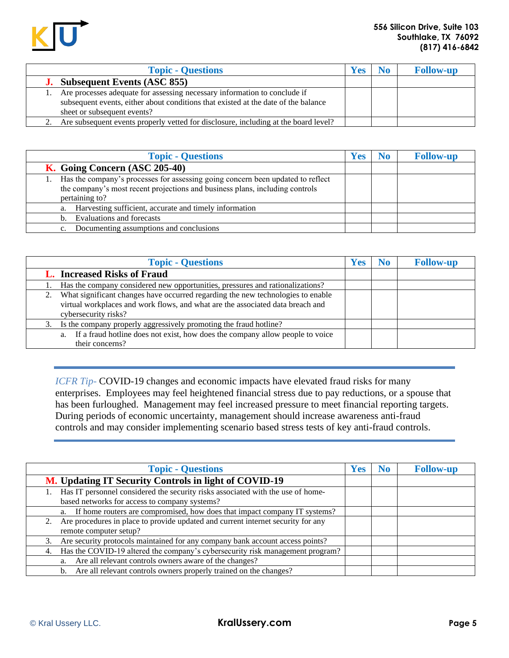

| <b>Topic - Questions</b>                                                                                                                                                                       | <b>Yes</b> | N <sub>0</sub> | <b>Follow-up</b> |
|------------------------------------------------------------------------------------------------------------------------------------------------------------------------------------------------|------------|----------------|------------------|
| <b>J.</b> Subsequent Events (ASC 855)                                                                                                                                                          |            |                |                  |
| Are processes adequate for assessing necessary information to conclude if<br>subsequent events, either about conditions that existed at the date of the balance<br>sheet or subsequent events? |            |                |                  |
| Are subsequent events properly vetted for disclosure, including at the board level?                                                                                                            |            |                |                  |

| <b>Topic - Questions</b>                                                                                                                                                                | Yes | No | <b>Follow-up</b> |
|-----------------------------------------------------------------------------------------------------------------------------------------------------------------------------------------|-----|----|------------------|
| K. Going Concern (ASC 205-40)                                                                                                                                                           |     |    |                  |
| Has the company's processes for assessing going concern been updated to reflect<br>1.<br>the company's most recent projections and business plans, including controls<br>pertaining to? |     |    |                  |
| Harvesting sufficient, accurate and timely information<br>a.                                                                                                                            |     |    |                  |
| Evaluations and forecasts<br>b.                                                                                                                                                         |     |    |                  |
| Documenting assumptions and conclusions                                                                                                                                                 |     |    |                  |

| <b>Topic - Questions</b>                                                                                                                                                                     | <b>Yes</b> | N <sub>0</sub> | <b>Follow-up</b> |
|----------------------------------------------------------------------------------------------------------------------------------------------------------------------------------------------|------------|----------------|------------------|
| <b>L.</b> Increased Risks of Fraud                                                                                                                                                           |            |                |                  |
| Has the company considered new opportunities, pressures and rationalizations?                                                                                                                |            |                |                  |
| 2. What significant changes have occurred regarding the new technologies to enable<br>virtual workplaces and work flows, and what are the associated data breach and<br>cybersecurity risks? |            |                |                  |
| 3. Is the company properly aggressively promoting the fraud hotline?                                                                                                                         |            |                |                  |
| If a fraud hotline does not exist, how does the company allow people to voice<br>a.<br>their concerns?                                                                                       |            |                |                  |

*ICFR Tip*- COVID-19 changes and economic impacts have elevated fraud risks for many enterprises. Employees may feel heightened financial stress due to pay reductions, or a spouse that has been furloughed. Management may feel increased pressure to meet financial reporting targets. During periods of economic uncertainty, management should increase awareness anti-fraud controls and may consider implementing scenario based stress tests of key anti-fraud controls.

| <b>Topic - Questions</b>                                                               | <b>Yes</b> | No. | <b>Follow-up</b> |
|----------------------------------------------------------------------------------------|------------|-----|------------------|
| M. Updating IT Security Controls in light of COVID-19                                  |            |     |                  |
| Has IT personnel considered the security risks associated with the use of home-<br>1.  |            |     |                  |
| based networks for access to company systems?                                          |            |     |                  |
| If home routers are compromised, how does that impact company IT systems?<br>a.        |            |     |                  |
| Are procedures in place to provide updated and current internet security for any<br>2. |            |     |                  |
| remote computer setup?                                                                 |            |     |                  |
| Are security protocols maintained for any company bank account access points?<br>3.    |            |     |                  |
| Has the COVID-19 altered the company's cybersecurity risk management program?<br>4.    |            |     |                  |
| Are all relevant controls owners aware of the changes?<br>a.                           |            |     |                  |
| Are all relevant controls owners properly trained on the changes?<br>b.                |            |     |                  |